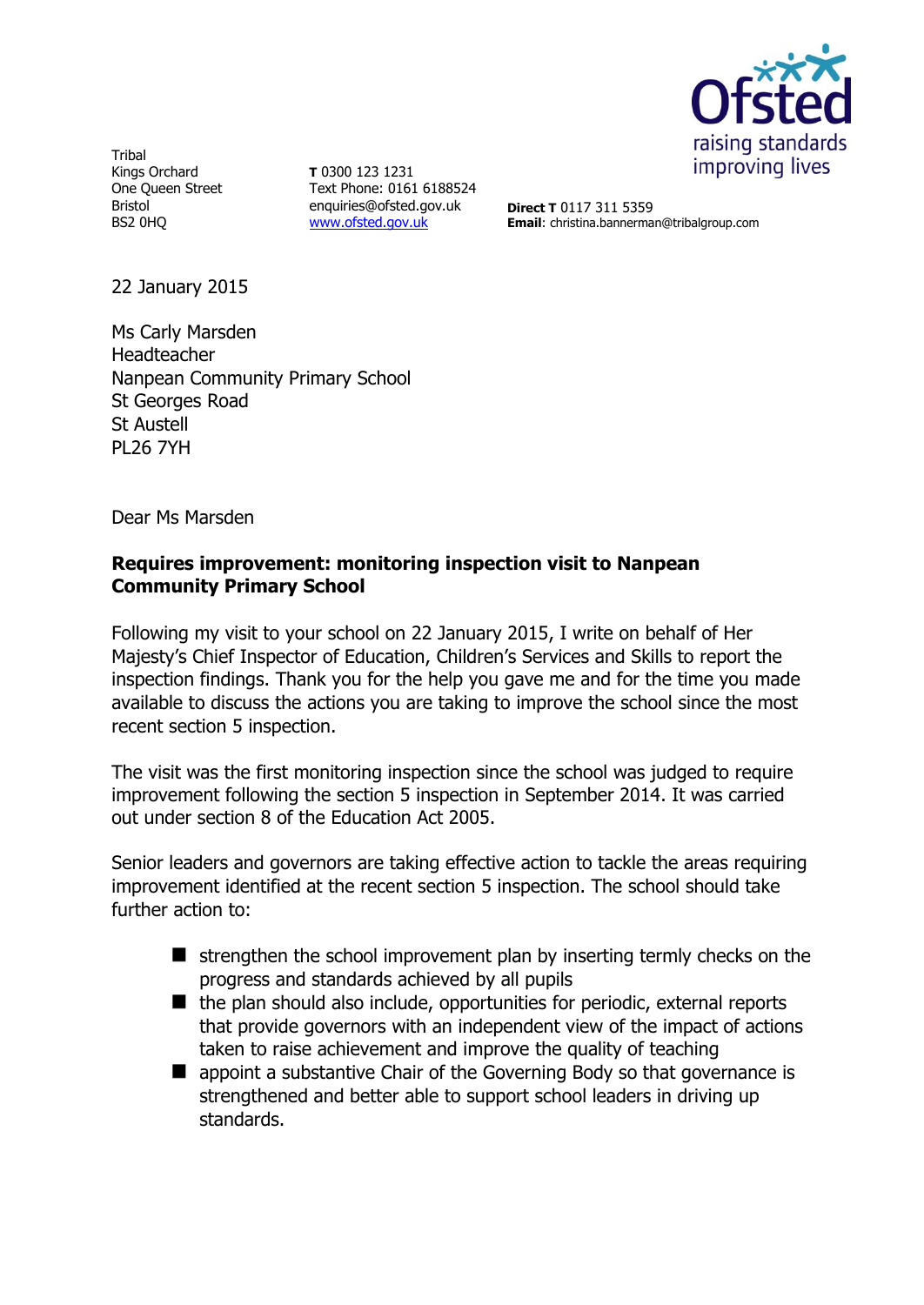

**Tribal** Kings Orchard One Queen Street Bristol BS2 0HQ

**T** 0300 123 1231 Text Phone: 0161 6188524 enquiries@ofsted.gov.uk [www.ofsted.gov.uk](http://www.ofsted.gov.uk/)

**Direct T** 0117 311 5359 **Email**: christina.bannerman@tribalgroup.com

22 January 2015

Ms Carly Marsden Headteacher Nanpean Community Primary School St Georges Road St Austell PL26 7YH

Dear Ms Marsden

## **Requires improvement: monitoring inspection visit to Nanpean Community Primary School**

Following my visit to your school on 22 January 2015, I write on behalf of Her Majesty's Chief Inspector of Education, Children's Services and Skills to report the inspection findings. Thank you for the help you gave me and for the time you made available to discuss the actions you are taking to improve the school since the most recent section 5 inspection.

The visit was the first monitoring inspection since the school was judged to require improvement following the section 5 inspection in September 2014. It was carried out under section 8 of the Education Act 2005.

Senior leaders and governors are taking effective action to tackle the areas requiring improvement identified at the recent section 5 inspection. The school should take further action to:

- $\blacksquare$  strengthen the school improvement plan by inserting termly checks on the progress and standards achieved by all pupils
- $\blacksquare$  the plan should also include, opportunities for periodic, external reports that provide governors with an independent view of the impact of actions taken to raise achievement and improve the quality of teaching
- **E** appoint a substantive Chair of the Governing Body so that governance is strengthened and better able to support school leaders in driving up standards.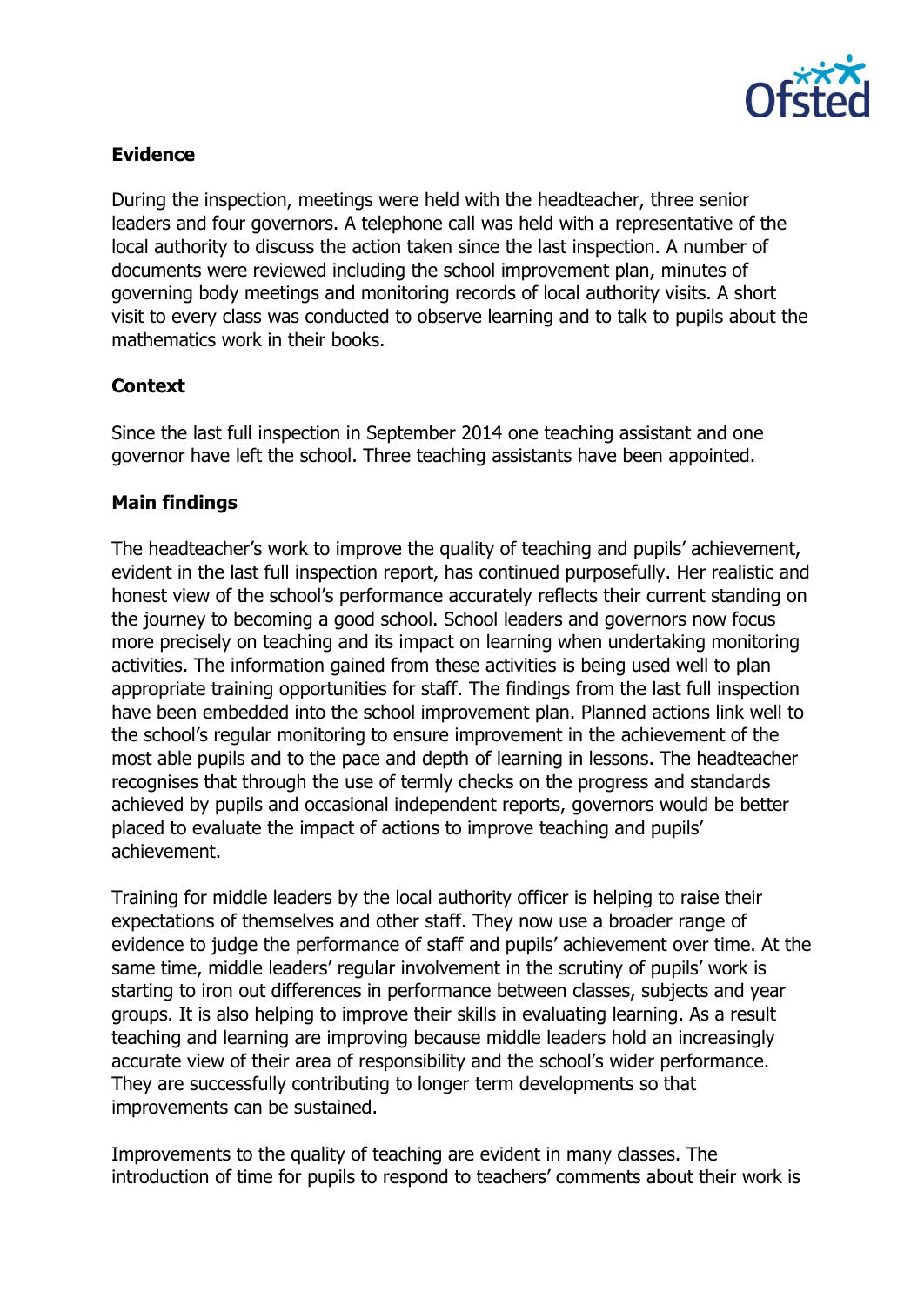

## **Evidence**

During the inspection, meetings were held with the headteacher, three senior leaders and four governors. A telephone call was held with a representative of the local authority to discuss the action taken since the last inspection. A number of documents were reviewed including the school improvement plan, minutes of governing body meetings and monitoring records of local authority visits. A short visit to every class was conducted to observe learning and to talk to pupils about the mathematics work in their books.

### **Context**

Since the last full inspection in September 2014 one teaching assistant and one governor have left the school. Three teaching assistants have been appointed.

# **Main findings**

The headteacher's work to improve the quality of teaching and pupils' achievement, evident in the last full inspection report, has continued purposefully. Her realistic and honest view of the school's performance accurately reflects their current standing on the journey to becoming a good school. School leaders and governors now focus more precisely on teaching and its impact on learning when undertaking monitoring activities. The information gained from these activities is being used well to plan appropriate training opportunities for staff. The findings from the last full inspection have been embedded into the school improvement plan. Planned actions link well to the school's regular monitoring to ensure improvement in the achievement of the most able pupils and to the pace and depth of learning in lessons. The headteacher recognises that through the use of termly checks on the progress and standards achieved by pupils and occasional independent reports, governors would be better placed to evaluate the impact of actions to improve teaching and pupils' achievement.

Training for middle leaders by the local authority officer is helping to raise their expectations of themselves and other staff. They now use a broader range of evidence to judge the performance of staff and pupils' achievement over time. At the same time, middle leaders' regular involvement in the scrutiny of pupils' work is starting to iron out differences in performance between classes, subjects and year groups. It is also helping to improve their skills in evaluating learning. As a result teaching and learning are improving because middle leaders hold an increasingly accurate view of their area of responsibility and the school's wider performance. They are successfully contributing to longer term developments so that improvements can be sustained.

Improvements to the quality of teaching are evident in many classes. The introduction of time for pupils to respond to teachers' comments about their work is